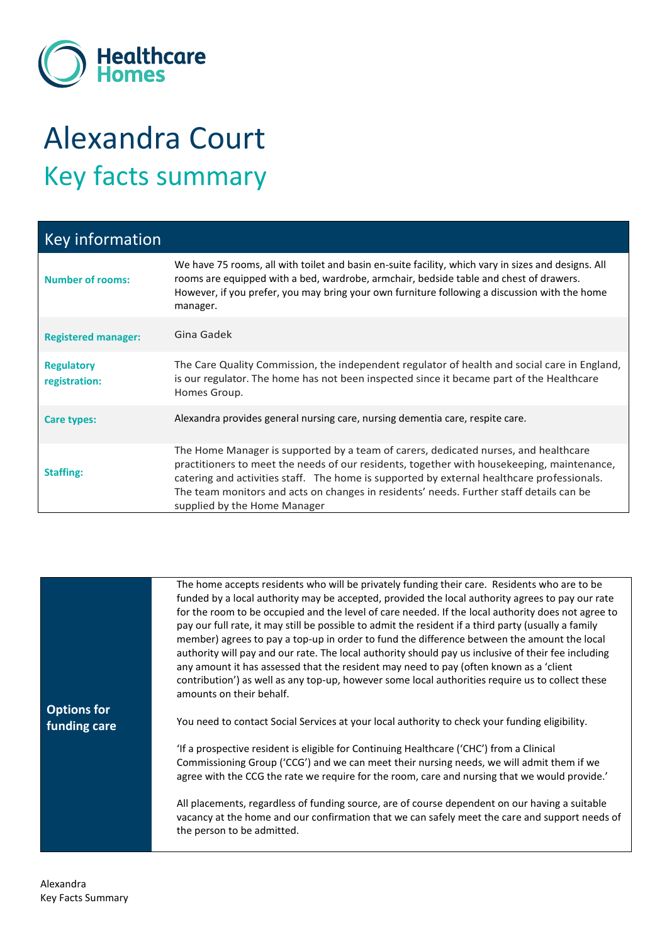

## Alexandra Court Key facts summary

| <b>Key information</b>             |                                                                                                                                                                                                                                                                                                                                                                                                            |
|------------------------------------|------------------------------------------------------------------------------------------------------------------------------------------------------------------------------------------------------------------------------------------------------------------------------------------------------------------------------------------------------------------------------------------------------------|
| <b>Number of rooms:</b>            | We have 75 rooms, all with toilet and basin en-suite facility, which vary in sizes and designs. All<br>rooms are equipped with a bed, wardrobe, armchair, bedside table and chest of drawers.<br>However, if you prefer, you may bring your own furniture following a discussion with the home<br>manager.                                                                                                 |
| <b>Registered manager:</b>         | Gina Gadek                                                                                                                                                                                                                                                                                                                                                                                                 |
| <b>Regulatory</b><br>registration: | The Care Quality Commission, the independent regulator of health and social care in England,<br>is our regulator. The home has not been inspected since it became part of the Healthcare<br>Homes Group.                                                                                                                                                                                                   |
| Care types:                        | Alexandra provides general nursing care, nursing dementia care, respite care.                                                                                                                                                                                                                                                                                                                              |
| <b>Staffing:</b>                   | The Home Manager is supported by a team of carers, dedicated nurses, and healthcare<br>practitioners to meet the needs of our residents, together with housekeeping, maintenance,<br>catering and activities staff. The home is supported by external healthcare professionals.<br>The team monitors and acts on changes in residents' needs. Further staff details can be<br>supplied by the Home Manager |

|                    | The home accepts residents who will be privately funding their care. Residents who are to be         |
|--------------------|------------------------------------------------------------------------------------------------------|
|                    | funded by a local authority may be accepted, provided the local authority agrees to pay our rate     |
|                    | for the room to be occupied and the level of care needed. If the local authority does not agree to   |
|                    | pay our full rate, it may still be possible to admit the resident if a third party (usually a family |
|                    | member) agrees to pay a top-up in order to fund the difference between the amount the local          |
|                    | authority will pay and our rate. The local authority should pay us inclusive of their fee including  |
|                    | any amount it has assessed that the resident may need to pay (often known as a 'client               |
|                    | contribution') as well as any top-up, however some local authorities require us to collect these     |
|                    | amounts on their behalf.                                                                             |
| <b>Options for</b> |                                                                                                      |
| funding care       | You need to contact Social Services at your local authority to check your funding eligibility.       |
|                    |                                                                                                      |
|                    | 'If a prospective resident is eligible for Continuing Healthcare ('CHC') from a Clinical             |
|                    | Commissioning Group ('CCG') and we can meet their nursing needs, we will admit them if we            |
|                    | agree with the CCG the rate we require for the room, care and nursing that we would provide.'        |
|                    |                                                                                                      |
|                    | All placements, regardless of funding source, are of course dependent on our having a suitable       |
|                    | vacancy at the home and our confirmation that we can safely meet the care and support needs of       |
|                    | the person to be admitted.                                                                           |
|                    |                                                                                                      |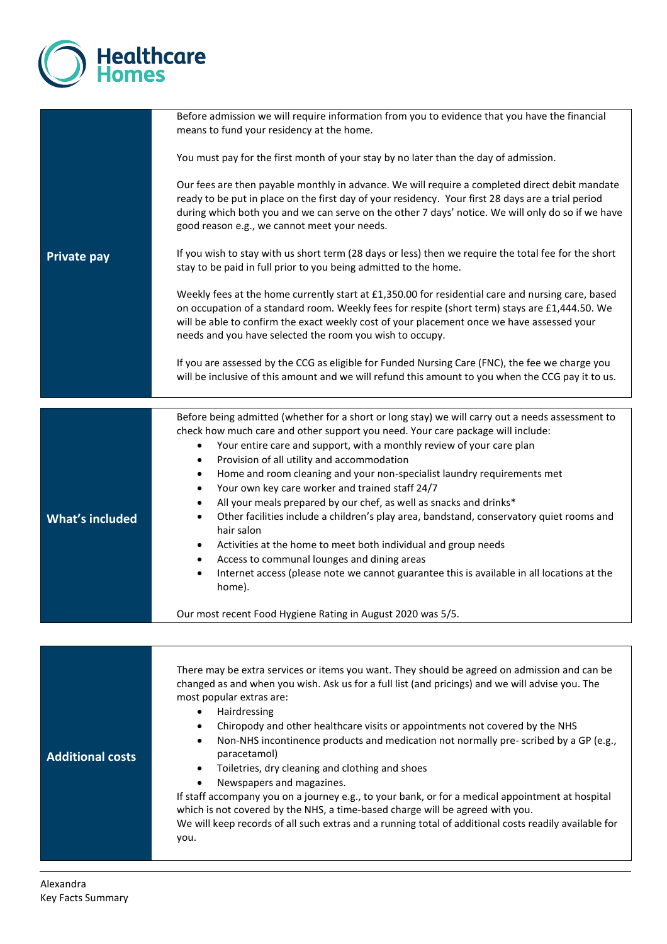

|                         | Before admission we will require information from you to evidence that you have the financial<br>means to fund your residency at the home.                                                                                                                                                                                                                                                                                                                                                                                                                                                                                                                                                                                                                                                                                                                                                                                                                                                                                            |
|-------------------------|---------------------------------------------------------------------------------------------------------------------------------------------------------------------------------------------------------------------------------------------------------------------------------------------------------------------------------------------------------------------------------------------------------------------------------------------------------------------------------------------------------------------------------------------------------------------------------------------------------------------------------------------------------------------------------------------------------------------------------------------------------------------------------------------------------------------------------------------------------------------------------------------------------------------------------------------------------------------------------------------------------------------------------------|
|                         | You must pay for the first month of your stay by no later than the day of admission.                                                                                                                                                                                                                                                                                                                                                                                                                                                                                                                                                                                                                                                                                                                                                                                                                                                                                                                                                  |
|                         | Our fees are then payable monthly in advance. We will require a completed direct debit mandate<br>ready to be put in place on the first day of your residency. Your first 28 days are a trial period<br>during which both you and we can serve on the other 7 days' notice. We will only do so if we have<br>good reason e.g., we cannot meet your needs.                                                                                                                                                                                                                                                                                                                                                                                                                                                                                                                                                                                                                                                                             |
| <b>Private pay</b>      | If you wish to stay with us short term (28 days or less) then we require the total fee for the short<br>stay to be paid in full prior to you being admitted to the home.                                                                                                                                                                                                                                                                                                                                                                                                                                                                                                                                                                                                                                                                                                                                                                                                                                                              |
|                         | Weekly fees at the home currently start at £1,350.00 for residential care and nursing care, based<br>on occupation of a standard room. Weekly fees for respite (short term) stays are £1,444.50. We<br>will be able to confirm the exact weekly cost of your placement once we have assessed your<br>needs and you have selected the room you wish to occupy.                                                                                                                                                                                                                                                                                                                                                                                                                                                                                                                                                                                                                                                                         |
|                         | If you are assessed by the CCG as eligible for Funded Nursing Care (FNC), the fee we charge you<br>will be inclusive of this amount and we will refund this amount to you when the CCG pay it to us.                                                                                                                                                                                                                                                                                                                                                                                                                                                                                                                                                                                                                                                                                                                                                                                                                                  |
|                         |                                                                                                                                                                                                                                                                                                                                                                                                                                                                                                                                                                                                                                                                                                                                                                                                                                                                                                                                                                                                                                       |
| <b>What's included</b>  | Before being admitted (whether for a short or long stay) we will carry out a needs assessment to<br>check how much care and other support you need. Your care package will include:<br>Your entire care and support, with a monthly review of your care plan<br>$\bullet$<br>Provision of all utility and accommodation<br>$\bullet$<br>Home and room cleaning and your non-specialist laundry requirements met<br>$\bullet$<br>Your own key care worker and trained staff 24/7<br>$\bullet$<br>All your meals prepared by our chef, as well as snacks and drinks*<br>$\bullet$<br>Other facilities include a children's play area, bandstand, conservatory quiet rooms and<br>$\bullet$<br>hair salon<br>Activities at the home to meet both individual and group needs<br>$\bullet$<br>Access to communal lounges and dining areas<br>$\bullet$<br>Internet access (please note we cannot guarantee this is available in all locations at the<br>$\bullet$<br>home).<br>Our most recent Food Hygiene Rating in August 2020 was 5/5. |
|                         |                                                                                                                                                                                                                                                                                                                                                                                                                                                                                                                                                                                                                                                                                                                                                                                                                                                                                                                                                                                                                                       |
| <b>Additional costs</b> | There may be extra services or items you want. They should be agreed on admission and can be<br>changed as and when you wish. Ask us for a full list (and pricings) and we will advise you. The<br>most popular extras are:<br>Hairdressing<br>$\bullet$<br>Chiropody and other healthcare visits or appointments not covered by the NHS<br>٠<br>Non-NHS incontinence products and medication not normally pre-scribed by a GP (e.g.,<br>٠<br>paracetamol)<br>Toiletries, dry cleaning and clothing and shoes<br>$\bullet$<br>Newspapers and magazines.<br>$\bullet$<br>If staff accompany you on a journey e.g., to your bank, or for a medical appointment at hospital<br>which is not covered by the NHS, a time-based charge will be agreed with you.<br>We will keep records of all such extras and a running total of additional costs readily available for<br>you.                                                                                                                                                            |